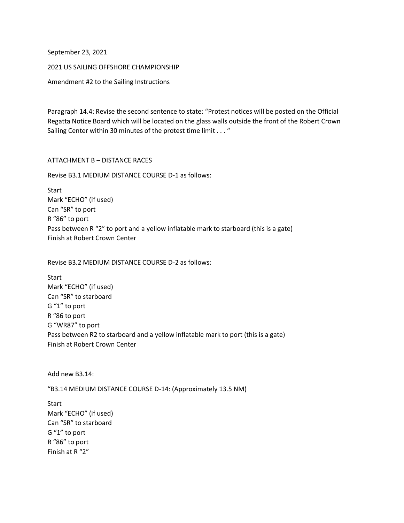September 23, 2021

2021 US SAILING OFFSHORE CHAMPIONSHIP

Amendment #2 to the Sailing Instructions

Paragraph 14.4: Revise the second sentence to state: "Protest notices will be posted on the Official Regatta Notice Board which will be located on the glass walls outside the front of the Robert Crown Sailing Center within 30 minutes of the protest time limit . . . "

## ATTACHMENT B – DISTANCE RACES

Revise B3.1 MEDIUM DISTANCE COURSE D-1 as follows:

**Start** Mark "ECHO" (if used) Can "SR" to port R "86" to port Pass between R "2" to port and a yellow inflatable mark to starboard (this is a gate) Finish at Robert Crown Center

Revise B3.2 MEDIUM DISTANCE COURSE D-2 as follows:

**Start** Mark "ECHO" (if used) Can "SR" to starboard G "1" to port R "86 to port G "WR87" to port Pass between R2 to starboard and a yellow inflatable mark to port (this is a gate) Finish at Robert Crown Center

Add new B3.14:

"B3.14 MEDIUM DISTANCE COURSE D-14: (Approximately 13.5 NM)

Start Mark "ECHO" (if used) Can "SR" to starboard G "1" to port R "86" to port Finish at R "2"